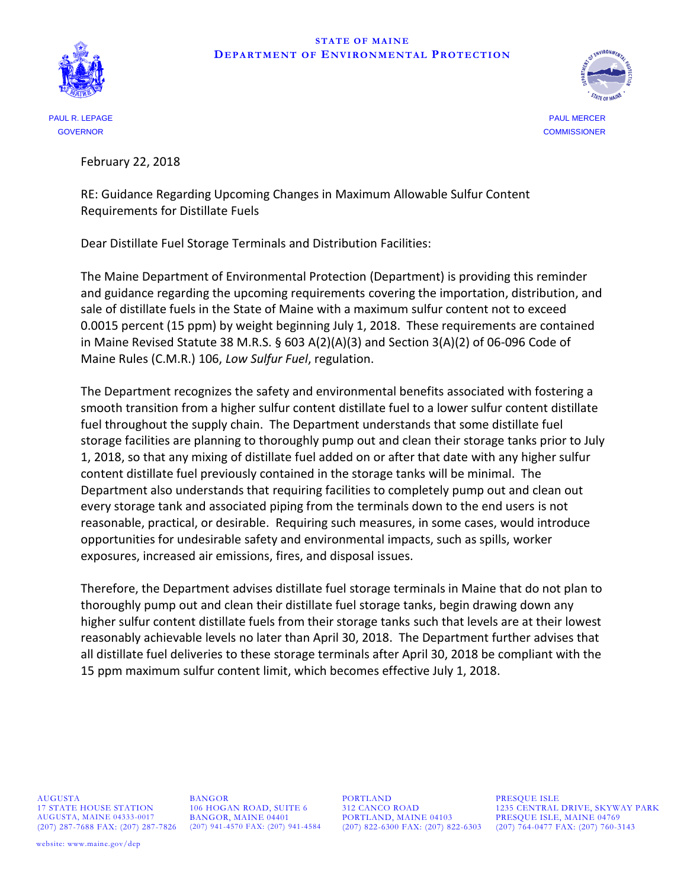## **STATE OF MAINE DEPARTMENT OF ENVIRONMENTAL PROTECTION**





GOVERNOR COMMISSIONER

February 22, 2018

RE: Guidance Regarding Upcoming Changes in Maximum Allowable Sulfur Content Requirements for Distillate Fuels

Dear Distillate Fuel Storage Terminals and Distribution Facilities:

The Maine Department of Environmental Protection (Department) is providing this reminder and guidance regarding the upcoming requirements covering the importation, distribution, and sale of distillate fuels in the State of Maine with a maximum sulfur content not to exceed 0.0015 percent (15 ppm) by weight beginning July 1, 2018. These requirements are contained in Maine Revised Statute 38 M.R.S.  $\S$  603 A(2)(A)(3) and Section 3(A)(2) of 06-096 Code of Maine Rules (C.M.R.) 106, *Low Sulfur Fuel*, regulation.

The Department recognizes the safety and environmental benefits associated with fostering a smooth transition from a higher sulfur content distillate fuel to a lower sulfur content distillate fuel throughout the supply chain. The Department understands that some distillate fuel storage facilities are planning to thoroughly pump out and clean their storage tanks prior to July 1, 2018, so that any mixing of distillate fuel added on or after that date with any higher sulfur content distillate fuel previously contained in the storage tanks will be minimal. The Department also understands that requiring facilities to completely pump out and clean out every storage tank and associated piping from the terminals down to the end users is not reasonable, practical, or desirable. Requiring such measures, in some cases, would introduce opportunities for undesirable safety and environmental impacts, such as spills, worker exposures, increased air emissions, fires, and disposal issues.

Therefore, the Department advises distillate fuel storage terminals in Maine that do not plan to thoroughly pump out and clean their distillate fuel storage tanks, begin drawing down any higher sulfur content distillate fuels from their storage tanks such that levels are at their lowest reasonably achievable levels no later than April 30, 2018. The Department further advises that all distillate fuel deliveries to these storage terminals after April 30, 2018 be compliant with the 15 ppm maximum sulfur content limit, which becomes effective July 1, 2018.

AUGUSTA BANGOR PORTLAND PRESQUE ISLE

 $\begin{array}{lll} \text{PORTLAND, MAINE 04103} & \text{PRESQUE ISLE, MAINE 04769} \\ \text{(207) 822-6300 FAX: (207) 822-6303} & \text{(207) 764-0477 FAX: (207) 760-3} \end{array}$ 

17 STATE HOUSE STATION 106 HOGAN ROAD, SUITE 6 312 CANCO ROAD 1235 CENTRAL DRIVE, SKYWAY PARK AUGUSTA, MAINE 04333-0017 BANGOR, MAINE 04401 PORTLAND, MAINE 04103 PRESQUE ISLE, MAINE 04769 (207) 287-7688 FAX: (207) 287-7826 (207) 941-4570 FAX: (207) 941-4584 (207) 822-6300 FAX: (207) 822-6303 (207) 764-0477 FAX: (207) 760-3143